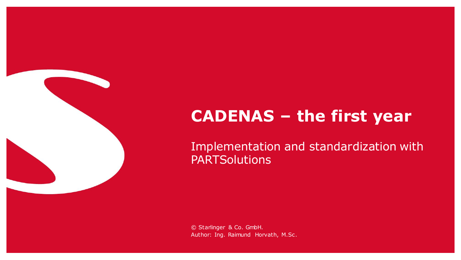# **CADENAS – the first year**

Implementation and standardization with **PARTSolutions**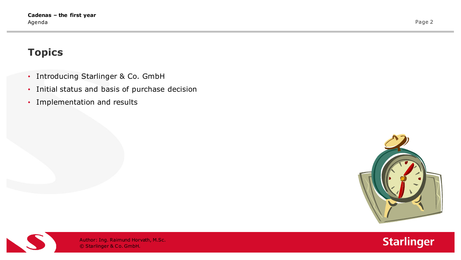## **Topics**

- Introducing Starlinger & Co. GmbH
- Initial status and basis of purchase decision
- Implementation and results





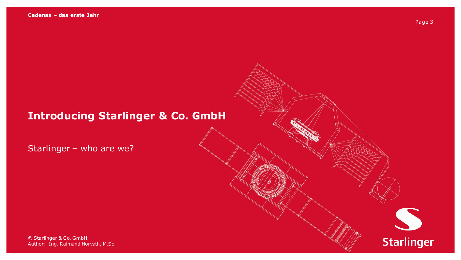# **Introducing Starlinger & Co. GmbH**

Starlinger – who are we?

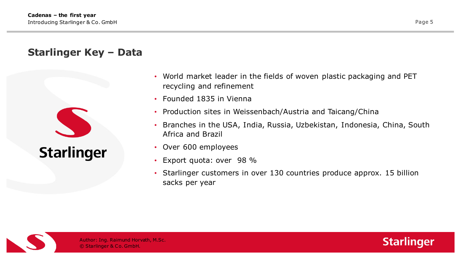#### **Starlinger Key – Data**



- World market leader in the fields of woven plastic packaging and PET recycling and refinement
- Founded 1835 in Vienna
- Production sites in Weissenbach/Austria and Taicang/China
- Branches in the USA, India, Russia, Uzbekistan, Indonesia, China, South Africa and Brazil
- Over 600 employees
- Export quota: over 98 %
- Starlinger customers in over 130 countries produce approx. 15 billion sacks per year



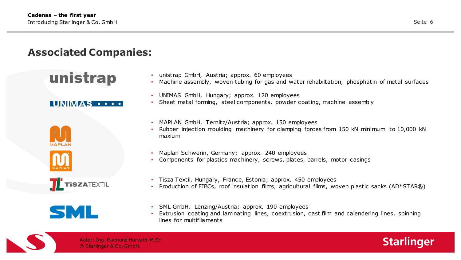#### **Associated Companies:**

# unistrap

#### **TINIMAS** ...









- unistrap GmbH, Austria; approx. 60 employees
- Machine assembly, woven tubing for gas and water rehabiltation, phosphatin of metal surfaces
- UNIMAS GmbH, Hungary; approx. 120 employees
- Sheet metal forming, steel components, powder coating, machine assembly
- MAPLAN GmbH, Ternitz/Austria; approx. 150 employees
- Rubber injection moulding machinery for clamping forces from 150 kN minimum to 10,000 kN maxium
- Maplan Schwerin, Germany; approx. 240 employees
- Components for plastics machinery, screws, plates, barrels, motor casings
- Tisza Textil, Hungary, France, Estonia; approx. 450 employees
- Production of FIBCs, roof insulation films, agricultural films, woven plastic sacks (AD\*STAR®)
- SML GmbH, Lenzing/Austria; approx. 190 employees
- Extrusion coating and laminating lines, coextrusion, cast film and calendering lines, spinning lines for multifilaments



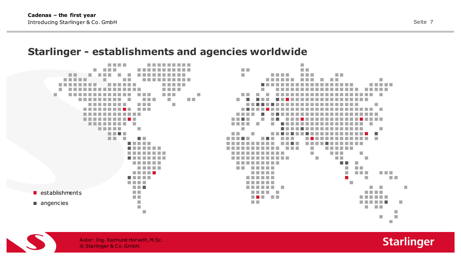#### **Starlinger - establishments and agencies worldwide**

. . . . . . . . . . . . . ▬ T. × m m a sa ٠ . . . ≖ п . . **Contract Contract** . . . . . . .  $\blacksquare$  establishments m m **COLLEGE** angencies a.  $\mathbb{R}^n$  $\mathcal{L}_{\mathcal{A}}$ 



 $\mathcal{L}_{\mathcal{A}}$ 



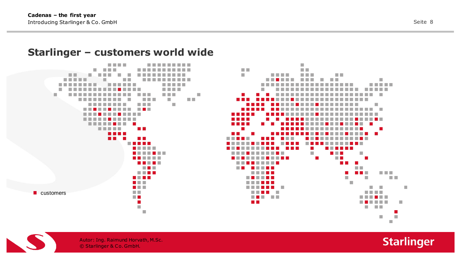#### **Starlinger – customers world wide**







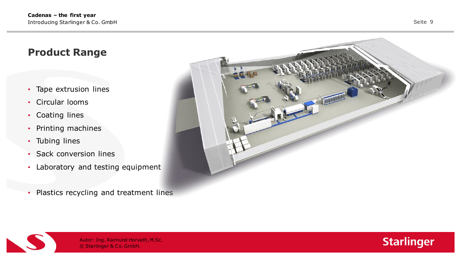#### **Product Range**

- Tape extrusion lines
- Circular looms
- Coating lines
- Printing machines
- Tubing lines
- Sack conversion lines
- Laboratory and testing equipment
- Plastics recycling and treatment lines





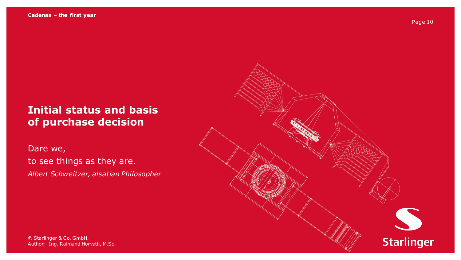# **Initial status and basis of purchase decision**

Dare we, to see things as they are. *Albert Schweitzer, alsatian Philosopher*



Author: Ing. Raimund Horvath, M.Sc. **Author:** Ing. © Starlinger & Co. GmbH.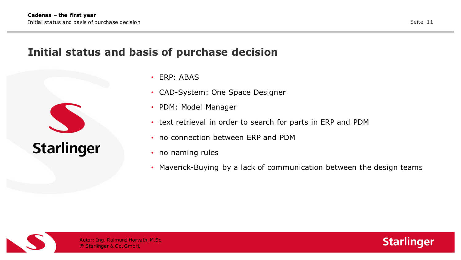## **Initial status and basis of purchase decision**



- ERP: ABAS
- CAD-System: One Space Designer
- PDM: Model Manager
- text retrieval in order to search for parts in ERP and PDM
- no connection between ERP and PDM
- no naming rules
- Maverick-Buying by a lack of communication between the design teams



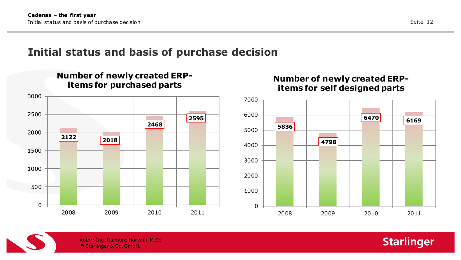# **Initial status and basis of purchase decision**



#### **Number of newly created ERPitems for self designed parts**





© Starlinger & Co. GmbH. Autor: Ing. Raimund Horvath, M.Sc. **Starlinger**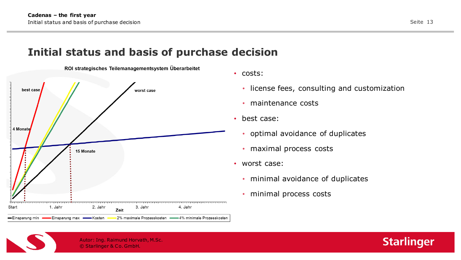## **Initial status and basis of purchase decision**



ROI strategisches Teilemanagementsystem Überarbeitet

- costs:
	- license fees, consulting and customization
	- maintenance costs
- best case:
	- optimal avoidance of duplicates
	- maximal process costs
- worst case:
	- minimal avoidance of duplicates
	- minimal process costs

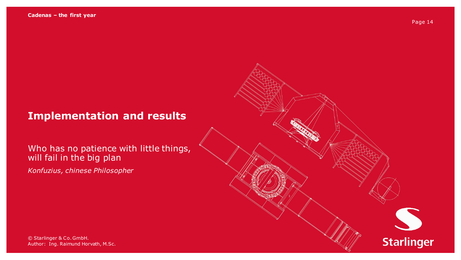## **Implementation and results**

#### Who has no patience with little things, will fail in the big plan

*Konfuzius, chinese Philosopher*

Author: Ing. Raimund Horvath, M.Sc. **Author:** Ing. © Starlinger & Co. GmbH.

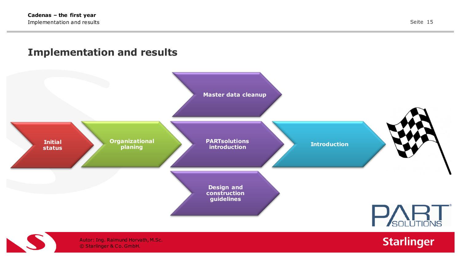#### **Implementation and results**



**Starlinger**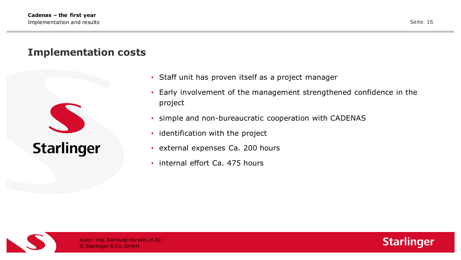#### **Implementation costs**



- Staff unit has proven itself as a project manager
- Early involvement of the management strengthened confidence in the project
- simple and non-bureaucratic cooperation with CADENAS
- identification with the project
- external expenses Ca. 200 hours
- internal effort Ca. 475 hours



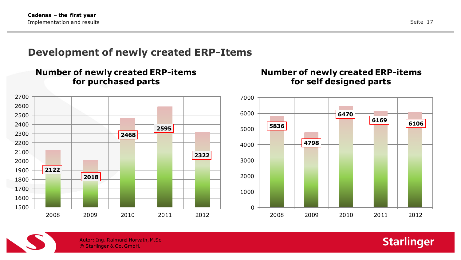#### **Development of newly created ERP-Items**



**Number of newly created ERP-items** 

#### **Number of newly created ERP-items for self designed parts**





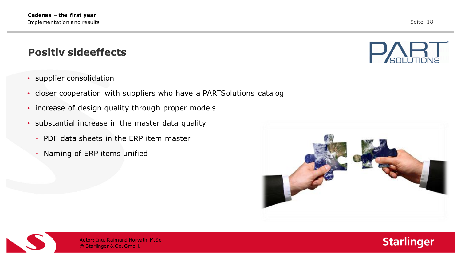#### **Positiv sideeffects**

- supplier consolidation
- closer cooperation with suppliers who have a PARTSolutions catalog
- increase of design quality through proper models
- substantial increase in the master data quality
	- PDF data sheets in the ERP item master
	- Naming of ERP items unified







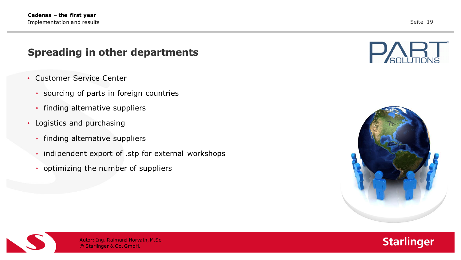#### **Spreading in other departments**

- Customer Service Center
	- sourcing of parts in foreign countries
	- finding alternative suppliers
- Logistics and purchasing
	- finding alternative suppliers
	- indipendent export of .stp for external workshops
	- optimizing the number of suppliers







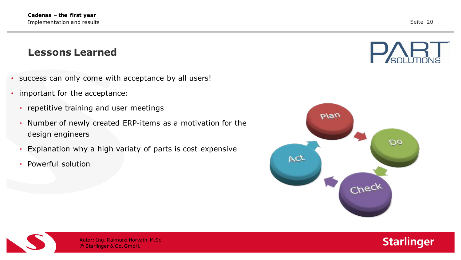#### **Lessons Learned**

- success can only come with acceptance by all users!
- important for the acceptance:
	- repetitive training and user meetings
	- Number of newly created ERP-items as a motivation for the design engineers
	- Explanation why a high variaty of parts is cost expensive
	- Powerful solution







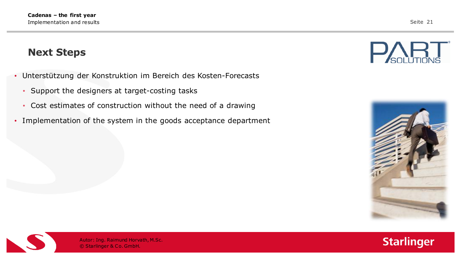#### **Next Steps**

- Unterstützung der Konstruktion im Bereich des Kosten-Forecasts
	- Support the designers at target-costing tasks
	- Cost estimates of construction without the need of a drawing
- Implementation of the system in the goods acceptance department